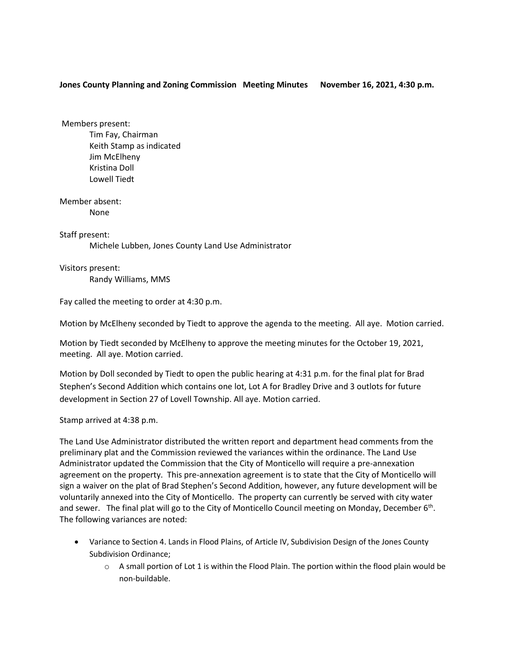## **Jones County Planning and Zoning Commission Meeting Minutes November 16, 2021, 4:30 p.m.**

Members present: Tim Fay, Chairman Keith Stamp as indicated Jim McElheny Kristina Doll Lowell Tiedt

Member absent: None

Staff present: Michele Lubben, Jones County Land Use Administrator

Visitors present:

Randy Williams, MMS

Fay called the meeting to order at 4:30 p.m.

Motion by McElheny seconded by Tiedt to approve the agenda to the meeting. All aye. Motion carried.

Motion by Tiedt seconded by McElheny to approve the meeting minutes for the October 19, 2021, meeting. All aye. Motion carried.

Motion by Doll seconded by Tiedt to open the public hearing at 4:31 p.m. for the final plat for Brad Stephen's Second Addition which contains one lot, Lot A for Bradley Drive and 3 outlots for future development in Section 27 of Lovell Township. All aye. Motion carried.

Stamp arrived at 4:38 p.m.

The Land Use Administrator distributed the written report and department head comments from the preliminary plat and the Commission reviewed the variances within the ordinance. The Land Use Administrator updated the Commission that the City of Monticello will require a pre-annexation agreement on the property. This pre-annexation agreement is to state that the City of Monticello will sign a waiver on the plat of Brad Stephen's Second Addition, however, any future development will be voluntarily annexed into the City of Monticello. The property can currently be served with city water and sewer. The final plat will go to the City of Monticello Council meeting on Monday, December 6<sup>th</sup>. The following variances are noted:

- Variance to Section 4. Lands in Flood Plains, of Article IV, Subdivision Design of the Jones County Subdivision Ordinance;
	- $\circ$  A small portion of Lot 1 is within the Flood Plain. The portion within the flood plain would be non-buildable.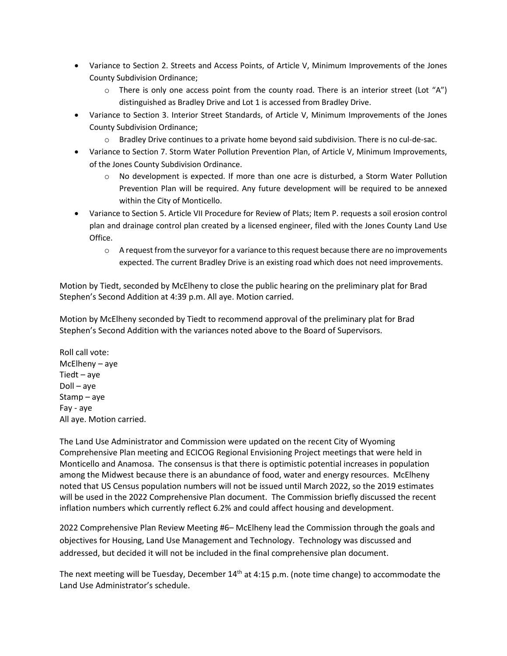- Variance to Section 2. Streets and Access Points, of Article V, Minimum Improvements of the Jones County Subdivision Ordinance;
	- $\circ$  There is only one access point from the county road. There is an interior street (Lot "A") distinguished as Bradley Drive and Lot 1 is accessed from Bradley Drive.
- Variance to Section 3. Interior Street Standards, of Article V, Minimum Improvements of the Jones County Subdivision Ordinance;
	- $\circ$  Bradley Drive continues to a private home beyond said subdivision. There is no cul-de-sac.
- Variance to Section 7. Storm Water Pollution Prevention Plan, of Article V, Minimum Improvements, of the Jones County Subdivision Ordinance.
	- $\circ$  No development is expected. If more than one acre is disturbed, a Storm Water Pollution Prevention Plan will be required. Any future development will be required to be annexed within the City of Monticello.
- Variance to Section 5. Article VII Procedure for Review of Plats; Item P. requests a soil erosion control plan and drainage control plan created by a licensed engineer, filed with the Jones County Land Use Office.
	- $\circ$  A request from the surveyor for a variance to this request because there are no improvements expected. The current Bradley Drive is an existing road which does not need improvements.

Motion by Tiedt, seconded by McElheny to close the public hearing on the preliminary plat for Brad Stephen's Second Addition at 4:39 p.m. All aye. Motion carried.

Motion by McElheny seconded by Tiedt to recommend approval of the preliminary plat for Brad Stephen's Second Addition with the variances noted above to the Board of Supervisors.

Roll call vote: McElheny – aye Tiedt – aye Doll – aye Stamp – aye Fay - aye All aye. Motion carried.

The Land Use Administrator and Commission were updated on the recent City of Wyoming Comprehensive Plan meeting and ECICOG Regional Envisioning Project meetings that were held in Monticello and Anamosa. The consensus is that there is optimistic potential increases in population among the Midwest because there is an abundance of food, water and energy resources. McElheny noted that US Census population numbers will not be issued until March 2022, so the 2019 estimates will be used in the 2022 Comprehensive Plan document. The Commission briefly discussed the recent inflation numbers which currently reflect 6.2% and could affect housing and development.

2022 Comprehensive Plan Review Meeting #6– McElheny lead the Commission through the goals and objectives for Housing, Land Use Management and Technology. Technology was discussed and addressed, but decided it will not be included in the final comprehensive plan document.

The next meeting will be Tuesday, December 14<sup>th</sup> at 4:15 p.m. (note time change) to accommodate the Land Use Administrator's schedule.